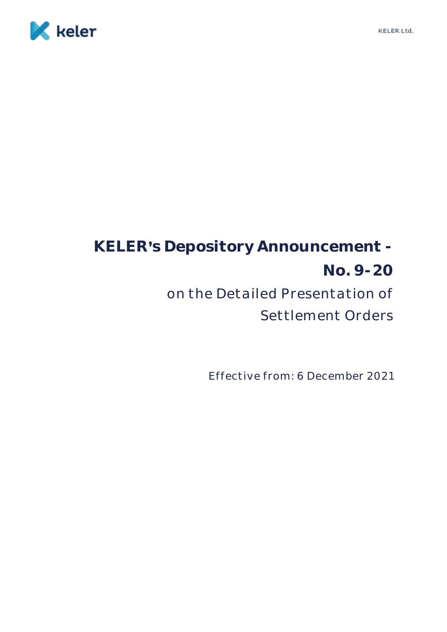

# **KELER s Depository Announcement - No. 9-20** on the Detailed Presentation of Settlement Orders

Effective from: 6 December 2021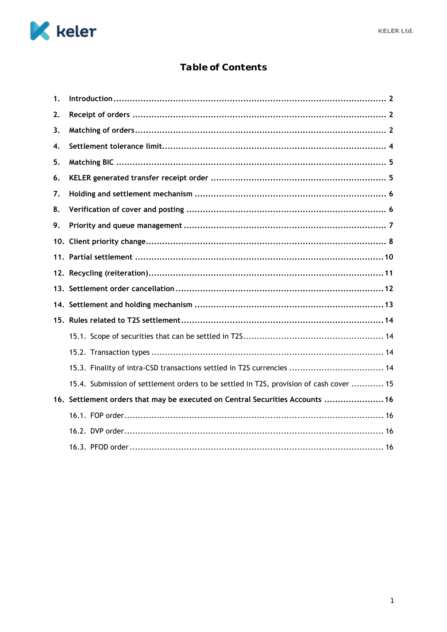

# Table of Contents

| 1. |                                                                                         |  |  |
|----|-----------------------------------------------------------------------------------------|--|--|
| 2. |                                                                                         |  |  |
| 3. |                                                                                         |  |  |
| 4. |                                                                                         |  |  |
| 5. |                                                                                         |  |  |
| 6. |                                                                                         |  |  |
| 7. |                                                                                         |  |  |
| 8. |                                                                                         |  |  |
| 9. |                                                                                         |  |  |
|    |                                                                                         |  |  |
|    |                                                                                         |  |  |
|    |                                                                                         |  |  |
|    |                                                                                         |  |  |
|    |                                                                                         |  |  |
|    |                                                                                         |  |  |
|    |                                                                                         |  |  |
|    |                                                                                         |  |  |
|    | 15.3. Finality of intra-CSD transactions settled in T2S currencies  14                  |  |  |
|    | 15.4. Submission of settlement orders to be settled in T2S, provision of cash cover  15 |  |  |
|    | 16. Settlement orders that may be executed on Central Securities Accounts  16           |  |  |
|    |                                                                                         |  |  |
|    |                                                                                         |  |  |
|    |                                                                                         |  |  |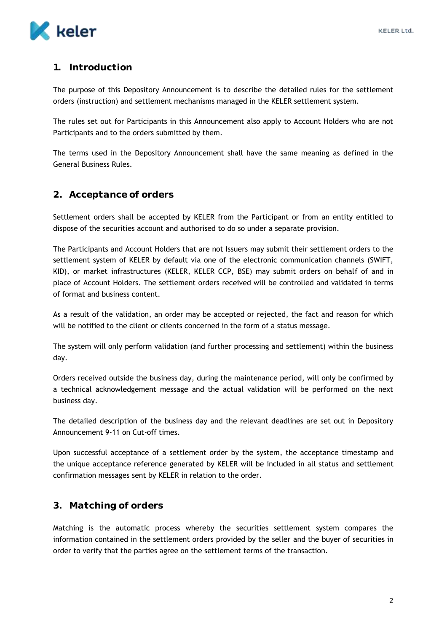

# <span id="page-2-0"></span>**1. Introduction**

The purpose of this Depository Announcement is to describe the detailed rules for the settlement orders (instruction) and settlement mechanisms managed in the KELER settlement system.

The rules set out for Participants in this Announcement also apply to Account Holders who are not Participants and to the orders submitted by them.

The terms used in the Depository Announcement shall have the same meaning as defined in the General Business Rules.

## <span id="page-2-1"></span>**2. Acceptance of orders**

Settlement orders shall be accepted by KELER from the Participant or from an entity entitled to dispose of the securities account and authorised to do so under a separate provision.

The Participants and Account Holders that are not Issuers may submit their settlement orders to the settlement system of KELER by default via one of the electronic communication channels (SWIFT, KID), or market infrastructures (KELER, KELER CCP, BSE) may submit orders on behalf of and in place of Account Holders. The settlement orders received will be controlled and validated in terms of format and business content.

As a result of the validation, an order may be accepted or rejected, the fact and reason for which will be notified to the client or clients concerned in the form of a status message.

The system will only perform validation (and further processing and settlement) within the business day.

Orders received outside the business day, during the maintenance period, will only be confirmed by a technical acknowledgement message and the actual validation will be performed on the next business day.

The detailed description of the business day and the relevant deadlines are set out in Depository Announcement 9-11 on Cut-off times.

Upon successful acceptance of a settlement order by the system, the acceptance timestamp and the unique acceptance reference generated by KELER will be included in all status and settlement confirmation messages sent by KELER in relation to the order.

## <span id="page-2-2"></span>**3. Matching of orders**

Matching is the automatic process whereby the securities settlement system compares the information contained in the settlement orders provided by the seller and the buyer of securities in order to verify that the parties agree on the settlement terms of the transaction.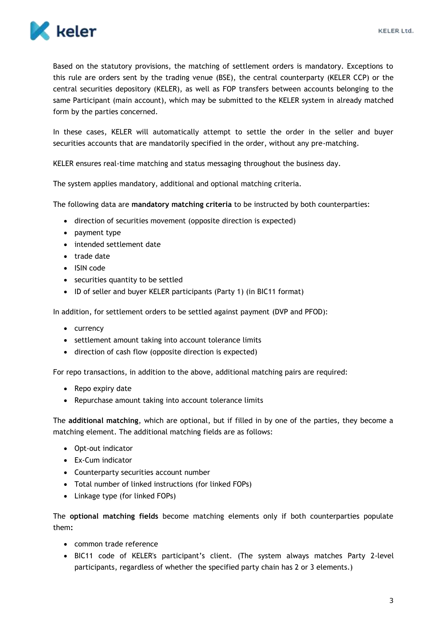

Based on the statutory provisions, the matching of settlement orders is mandatory. Exceptions to this rule are orders sent by the trading venue (BSE), the central counterparty (KELER CCP) or the central securities depository (KELER), as well as FOP transfers between accounts belonging to the same Participant (main account), which may be submitted to the KELER system in already matched form by the parties concerned.

In these cases, KELER will automatically attempt to settle the order in the seller and buyer securities accounts that are mandatorily specified in the order, without any pre-matching.

KELER ensures real-time matching and status messaging throughout the business day.

The system applies mandatory, additional and optional matching criteria.

The following data are **mandatory matching criteria** to be instructed by both counterparties:

- direction of securities movement (opposite direction is expected)
- payment type
- intended settlement date
- trade date
- ISIN code
- securities quantity to be settled
- ID of seller and buyer KELER participants (Party 1) (in BIC11 format)

In addition, for settlement orders to be settled against payment (DVP and PFOD):

- currency
- settlement amount taking into account tolerance limits
- direction of cash flow (opposite direction is expected)

For repo transactions, in addition to the above, additional matching pairs are required:

- Repo expiry date
- Repurchase amount taking into account tolerance limits

The **additional matching**, which are optional, but if filled in by one of the parties, they become a matching element. The additional matching fields are as follows:

- Opt-out indicator
- Ex-Cum indicator
- Counterparty securities account number
- Total number of linked instructions (for linked FOPs)
- Linkage type (for linked FOPs)

The **optional matching fields** become matching elements only if both counterparties populate them**:**

- common trade reference
- BIC11 code of KELER's participant's client. (The system always matches Party 2-level participants, regardless of whether the specified party chain has 2 or 3 elements.)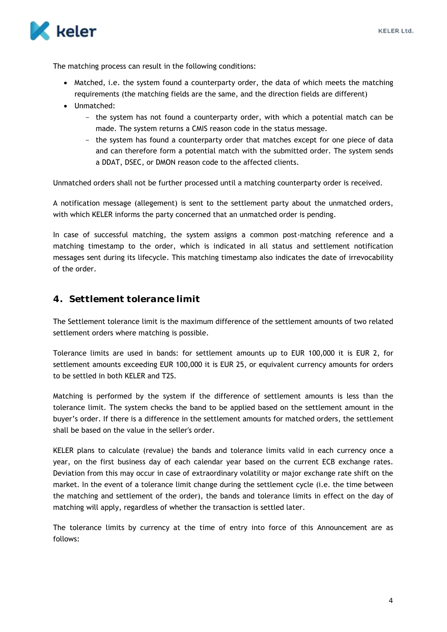

The matching process can result in the following conditions:

- Matched, i.e. the system found a counterparty order, the data of which meets the matching requirements (the matching fields are the same, and the direction fields are different)
- Unmatched:
	- the system has not found a counterparty order, with which a potential match can be made. The system returns a CMIS reason code in the status message.
	- the system has found a counterparty order that matches except for one piece of data and can therefore form a potential match with the submitted order. The system sends a DDAT, DSEC, or DMON reason code to the affected clients.

Unmatched orders shall not be further processed until a matching counterparty order is received.

A notification message (allegement) is sent to the settlement party about the unmatched orders, with which KELER informs the party concerned that an unmatched order is pending.

In case of successful matching, the system assigns a common post-matching reference and a matching timestamp to the order, which is indicated in all status and settlement notification messages sent during its lifecycle. This matching timestamp also indicates the date of irrevocability of the order.

#### <span id="page-4-0"></span>**4. Settlement tolerance limit**

The Settlement tolerance limit is the maximum difference of the settlement amounts of two related settlement orders where matching is possible.

Tolerance limits are used in bands: for settlement amounts up to EUR 100,000 it is EUR 2, for settlement amounts exceeding EUR 100,000 it is EUR 25, or equivalent currency amounts for orders to be settled in both KELER and T2S.

Matching is performed by the system if the difference of settlement amounts is less than the tolerance limit. The system checks the band to be applied based on the settlement amount in the buyer's order. If there is a difference in the settlement amounts for matched orders, the settlement shall be based on the value in the seller's order.

KELER plans to calculate (revalue) the bands and tolerance limits valid in each currency once a year, on the first business day of each calendar year based on the current ECB exchange rates. Deviation from this may occur in case of extraordinary volatility or major exchange rate shift on the market. In the event of a tolerance limit change during the settlement cycle (i.e. the time between the matching and settlement of the order), the bands and tolerance limits in effect on the day of matching will apply, regardless of whether the transaction is settled later.

The tolerance limits by currency at the time of entry into force of this Announcement are as follows: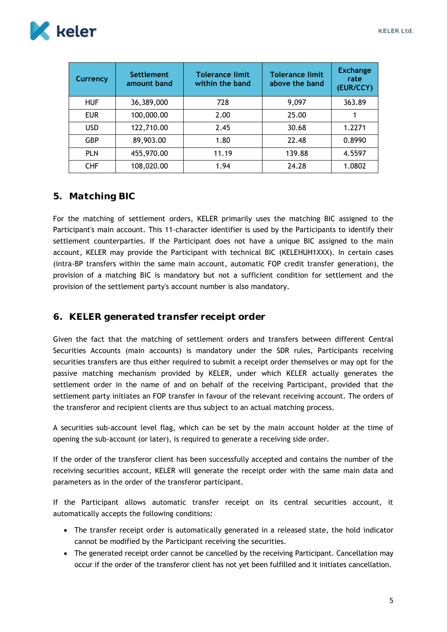

| Currency   | <b>Settlement</b><br>amount band | <b>Tolerance limit</b><br>within the band | <b>Tolerance limit</b><br>above the band | <b>Exchange</b><br>rate<br>(EUR/CCY) |
|------------|----------------------------------|-------------------------------------------|------------------------------------------|--------------------------------------|
| <b>HUF</b> | 36,389,000                       | 728                                       | 9,097                                    | 363.89                               |
| <b>EUR</b> | 100,000.00                       | 2.00                                      | 25.00                                    |                                      |
| <b>USD</b> | 122,710.00                       | 2.45                                      | 30.68                                    | 1.2271                               |
| <b>GBP</b> | 89,903.00                        | 1.80                                      | 22.48                                    | 0.8990                               |
| <b>PLN</b> | 455,970.00                       | 11.19                                     | 139.88                                   | 4.5597                               |
| <b>CHF</b> | 108,020.00                       | 1.94                                      | 24.28                                    | 1.0802                               |

## <span id="page-5-0"></span>**5. Matching BIC**

For the matching of settlement orders, KELER primarily uses the matching BIC assigned to the Participant's main account. This 11-character identifier is used by the Participants to identify their settlement counterparties. If the Participant does not have a unique BIC assigned to the main account, KELER may provide the Participant with technical BIC (KELEHUH1XXX). In certain cases (intra-BP transfers within the same main account, automatic FOP credit transfer generation), the provision of a matching BIC is mandatory but not a sufficient condition for settlement and the provision of the settlement party's account number is also mandatory.

## <span id="page-5-1"></span>**6. KELER generated transfer receipt order**

Given the fact that the matching of settlement orders and transfers between different Central Securities Accounts (main accounts) is mandatory under the SDR rules, Participants receiving securities transfers are thus either required to submit a receipt order themselves or may opt for the passive matching mechanism provided by KELER, under which KELER actually generates the settlement order in the name of and on behalf of the receiving Participant, provided that the settlement party initiates an FOP transfer in favour of the relevant receiving account. The orders of the transferor and recipient clients are thus subject to an actual matching process.

A securities sub-account level flag, which can be set by the main account holder at the time of opening the sub-account (or later), is required to generate a receiving side order.

If the order of the transferor client has been successfully accepted and contains the number of the receiving securities account, KELER will generate the receipt order with the same main data and parameters as in the order of the transferor participant.

If the Participant allows automatic transfer receipt on its central securities account, it automatically accepts the following conditions:

- The transfer receipt order is automatically generated in a released state, the hold indicator cannot be modified by the Participant receiving the securities.
- The generated receipt order cannot be cancelled by the receiving Participant. Cancellation may occur if the order of the transferor client has not yet been fulfilled and it initiates cancellation.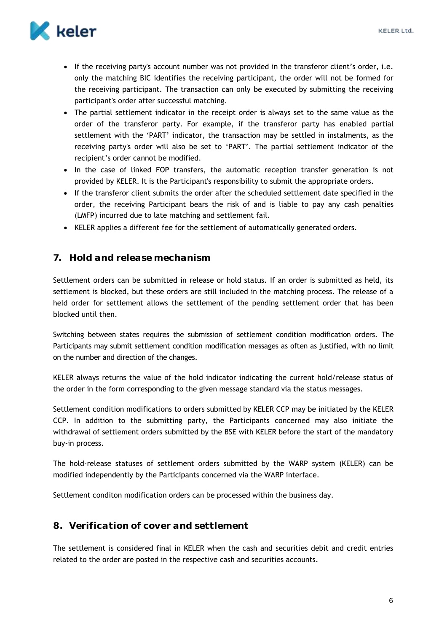

- If the receiving party's account number was not provided in the transferor client's order, i.e. only the matching BIC identifies the receiving participant, the order will not be formed for the receiving participant. The transaction can only be executed by submitting the receiving participant's order after successful matching.
- The partial settlement indicator in the receipt order is always set to the same value as the order of the transferor party. For example, if the transferor party has enabled partial settlement with the 'PART' indicator, the transaction may be settled in instalments, as the receiving party's order will also be set to 'PART'. The partial settlement indicator of the recipient's order cannot be modified.
- In the case of linked FOP transfers, the automatic reception transfer generation is not provided by KELER. It is the Participant's responsibility to submit the appropriate orders.
- If the transferor client submits the order after the scheduled settlement date specified in the order, the receiving Participant bears the risk of and is liable to pay any cash penalties (LMFP) incurred due to late matching and settlement fail.
- KELER applies a different fee for the settlement of automatically generated orders.

#### <span id="page-6-0"></span>**7. Hold and release mechanism**

Settlement orders can be submitted in release or hold status. If an order is submitted as held, its settlement is blocked, but these orders are still included in the matching process. The release of a held order for settlement allows the settlement of the pending settlement order that has been blocked until then.

Switching between states requires the submission of settlement condition modification orders. The Participants may submit settlement condition modification messages as often as justified, with no limit on the number and direction of the changes.

KELER always returns the value of the hold indicator indicating the current hold/release status of the order in the form corresponding to the given message standard via the status messages.

Settlement condition modifications to orders submitted by KELER CCP may be initiated by the KELER CCP. In addition to the submitting party, the Participants concerned may also initiate the withdrawal of settlement orders submitted by the BSE with KELER before the start of the mandatory buy-in process.

The hold-release statuses of settlement orders submitted by the WARP system (KELER) can be modified independently by the Participants concerned via the WARP interface.

Settlement conditon modification orders can be processed within the business day.

## <span id="page-6-1"></span>**8. Verification of cover and settlement**

The settlement is considered final in KELER when the cash and securities debit and credit entries related to the order are posted in the respective cash and securities accounts.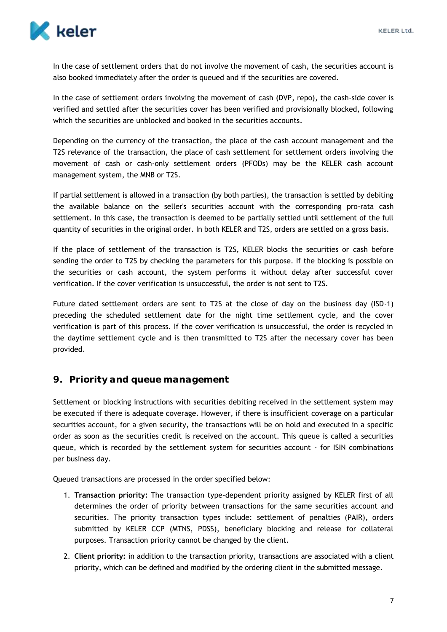

In the case of settlement orders that do not involve the movement of cash, the securities account is also booked immediately after the order is queued and if the securities are covered.

In the case of settlement orders involving the movement of cash (DVP, repo), the cash-side cover is verified and settled after the securities cover has been verified and provisionally blocked, following which the securities are unblocked and booked in the securities accounts.

Depending on the currency of the transaction, the place of the cash account management and the T2S relevance of the transaction, the place of cash settlement for settlement orders involving the movement of cash or cash-only settlement orders (PFODs) may be the KELER cash account management system, the MNB or T2S.

If partial settlement is allowed in a transaction (by both parties), the transaction is settled by debiting the available balance on the seller's securities account with the corresponding pro-rata cash settlement. In this case, the transaction is deemed to be partially settled until settlement of the full quantity of securities in the original order. In both KELER and T2S, orders are settled on a gross basis.

If the place of settlement of the transaction is T2S, KELER blocks the securities or cash before sending the order to T2S by checking the parameters for this purpose. If the blocking is possible on the securities or cash account, the system performs it without delay after successful cover verification. If the cover verification is unsuccessful, the order is not sent to T2S.

Future dated settlement orders are sent to T2S at the close of day on the business day (ISD-1) preceding the scheduled settlement date for the night time settlement cycle, and the cover verification is part of this process. If the cover verification is unsuccessful, the order is recycled in the daytime settlement cycle and is then transmitted to T2S after the necessary cover has been provided.

#### <span id="page-7-0"></span>**9. Priority and queue management**

Settlement or blocking instructions with securities debiting received in the settlement system may be executed if there is adequate coverage. However, if there is insufficient coverage on a particular securities account, for a given security, the transactions will be on hold and executed in a specific order as soon as the securities credit is received on the account. This queue is called a securities queue, which is recorded by the settlement system for securities account - for ISIN combinations per business day.

Queued transactions are processed in the order specified below:

- 1. **Transaction priority:** The transaction type-dependent priority assigned by KELER first of all determines the order of priority between transactions for the same securities account and securities. The priority transaction types include: settlement of penalties (PAIR), orders submitted by KELER CCP (MTNS, PDSS), beneficiary blocking and release for collateral purposes. Transaction priority cannot be changed by the client.
- 2. **Client priority:** in addition to the transaction priority, transactions are associated with a client priority, which can be defined and modified by the ordering client in the submitted message.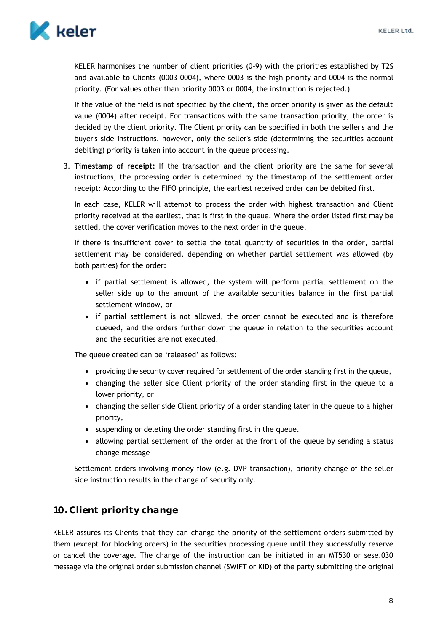

KELER harmonises the number of client priorities (0-9) with the priorities established by T2S and available to Clients (0003-0004), where 0003 is the high priority and 0004 is the normal priority. (For values other than priority 0003 or 0004, the instruction is rejected.)

If the value of the field is not specified by the client, the order priority is given as the default value (0004) after receipt. For transactions with the same transaction priority, the order is decided by the client priority. The Client priority can be specified in both the seller's and the buyer's side instructions, however, only the seller's side (determining the securities account debiting) priority is taken into account in the queue processing.

3. **Timestamp of receipt:** If the transaction and the client priority are the same for several instructions, the processing order is determined by the timestamp of the settlement order receipt: According to the FIFO principle, the earliest received order can be debited first.

In each case, KELER will attempt to process the order with highest transaction and Client priority received at the earliest, that is first in the queue. Where the order listed first may be settled, the cover verification moves to the next order in the queue.

If there is insufficient cover to settle the total quantity of securities in the order, partial settlement may be considered, depending on whether partial settlement was allowed (by both parties) for the order:

- if partial settlement is allowed, the system will perform partial settlement on the seller side up to the amount of the available securities balance in the first partial settlement window, or
- if partial settlement is not allowed, the order cannot be executed and is therefore queued, and the orders further down the queue in relation to the securities account and the securities are not executed.

The queue created can be 'released' as follows:

- providing the security cover required for settlement of the order standing first in the queue,
- changing the seller side Client priority of the order standing first in the queue to a lower priority, or
- changing the seller side Client priority of a order standing later in the queue to a higher priority,
- suspending or deleting the order standing first in the queue.
- allowing partial settlement of the order at the front of the queue by sending a status change message

Settlement orders involving money flow (e.g. DVP transaction), priority change of the seller side instruction results in the change of security only.

# <span id="page-8-0"></span>**10. Client priority change**

KELER assures its Clients that they can change the priority of the settlement orders submitted by them (except for blocking orders) in the securities processing queue until they successfully reserve or cancel the coverage. The change of the instruction can be initiated in an MT530 or sese.030 message via the original order submission channel (SWIFT or KID) of the party submitting the original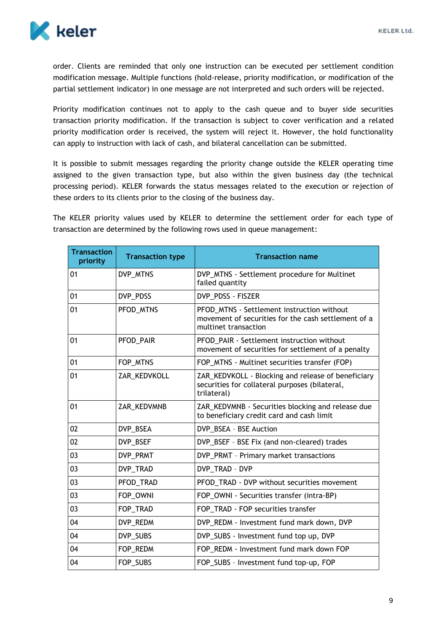

order. Clients are reminded that only one instruction can be executed per settlement condition modification message. Multiple functions (hold-release, priority modification, or modification of the partial settlement indicator) in one message are not interpreted and such orders will be rejected.

Priority modification continues not to apply to the cash queue and to buyer side securities transaction priority modification. If the transaction is subject to cover verification and a related priority modification order is received, the system will reject it. However, the hold functionality can apply to instruction with lack of cash, and bilateral cancellation can be submitted.

It is possible to submit messages regarding the priority change outside the KELER operating time assigned to the given transaction type, but also within the given business day (the technical processing period). KELER forwards the status messages related to the execution or rejection of these orders to its clients prior to the closing of the business day.

The KELER priority values used by KELER to determine the settlement order for each type of transaction are determined by the following rows used in queue management:

| <b>Transaction</b><br>priority | <b>Transaction type</b> | <b>Transaction name</b>                                                                                                   |
|--------------------------------|-------------------------|---------------------------------------------------------------------------------------------------------------------------|
| 01                             | DVP_MTNS                | DVP_MTNS - Settlement procedure for Multinet<br>failed quantity                                                           |
| 01                             | DVP_PDSS                | DVP_PDSS - FISZER                                                                                                         |
| 01                             | PFOD_MTNS               | PFOD_MTNS - Settlement instruction without<br>movement of securities for the cash settlement of a<br>multinet transaction |
| 01                             | PFOD_PAIR               | PFOD_PAIR - Settlement instruction without<br>movement of securities for settlement of a penalty                          |
| 01                             | FOP_MTNS                | FOP_MTNS - Multinet securities transfer (FOP)                                                                             |
| 01                             | ZAR_KEDVKOLL            | ZAR_KEDVKOLL - Blocking and release of beneficiary<br>securities for collateral purposes (bilateral,<br>trilateral)       |
| 01                             | ZAR_KEDVMNB             | ZAR_KEDVMNB - Securities blocking and release due<br>to beneficiary credit card and cash limit                            |
| 02                             | DVP_BSEA                | DVP_BSEA - BSE Auction                                                                                                    |
| 02                             | DVP_BSEF                | DVP_BSEF - BSE Fix (and non-cleared) trades                                                                               |
| 03                             | DVP_PRMT                | DVP_PRMT - Primary market transactions                                                                                    |
| 03                             | DVP TRAD                | DVP TRAD - DVP                                                                                                            |
| 03                             | PFOD_TRAD               | PFOD_TRAD - DVP without securities movement                                                                               |
| 03                             | FOP_OWNI                | FOP_OWNI - Securities transfer (intra-BP)                                                                                 |
| 03                             | FOP_TRAD                | FOP_TRAD - FOP securities transfer                                                                                        |
| 04                             | DVP_REDM                | DVP_REDM - Investment fund mark down, DVP                                                                                 |
| 04                             | DVP_SUBS                | DVP_SUBS - Investment fund top up, DVP                                                                                    |
| 04                             | FOP_REDM                | FOP_REDM - Investment fund mark down FOP                                                                                  |
| 04                             | FOP_SUBS                | FOP_SUBS - Investment fund top-up, FOP                                                                                    |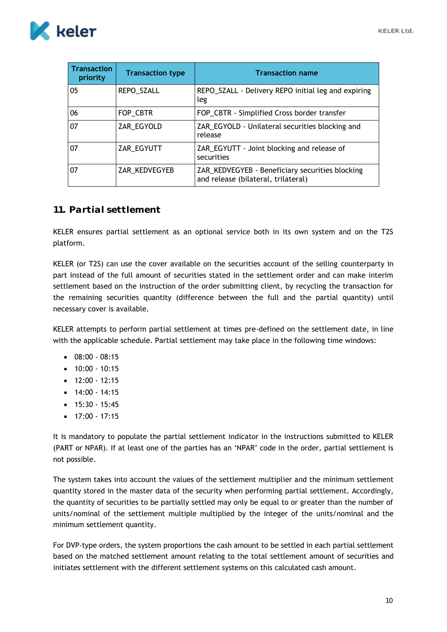

| <b>Transaction</b><br>priority | <b>Transaction type</b> | <b>Transaction name</b>                                                                |
|--------------------------------|-------------------------|----------------------------------------------------------------------------------------|
| 05                             | REPO_SZALL              | REPO_SZALL - Delivery REPO initial leg and expiring<br>leg                             |
| 06                             | FOP_CBTR                | FOP_CBTR - Simplified Cross border transfer                                            |
| 07                             | ZAR_EGYOLD              | ZAR_EGYOLD - Unilateral securities blocking and<br>release                             |
| 07                             | ZAR_EGYUTT              | ZAR_EGYUTT - Joint blocking and release of<br>securities                               |
| 07                             | ZAR_KEDVEGYEB           | ZAR_KEDVEGYEB - Beneficiary securities blocking<br>and release (bilateral, trilateral) |

## <span id="page-10-0"></span>**11. Partial settlement**

KELER ensures partial settlement as an optional service both in its own system and on the T2S platform.

KELER (or T2S) can use the cover available on the securities account of the selling counterparty in part instead of the full amount of securities stated in the settlement order and can make interim settlement based on the instruction of the order submitting client, by recycling the transaction for the remaining securities quantity (difference between the full and the partial quantity) until necessary cover is available.

KELER attempts to perform partial settlement at times pre-defined on the settlement date, in line with the applicable schedule. Partial settlement may take place in the following time windows:

- $08:00 08:15$
- $\bullet$  10:00 10:15
- $\bullet$  12:00 12:15
- $\bullet$  14:00 14:15
- $\bullet$  15:30 15:45
- $\bullet$  17:00 17:15

It is mandatory to populate the partial settlement indicator in the instructions submitted to KELER (PART or NPAR). If at least one of the parties has an 'NPAR' code in the order, partial settlement is not possible.

The system takes into account the values of the settlement multiplier and the minimum settlement quantity stored in the master data of the security when performing partial settlement. Accordingly, the quantity of securities to be partially settled may only be equal to or greater than the number of units/nominal of the settlement multiple multiplied by the integer of the units/nominal and the minimum settlement quantity.

For DVP-type orders, the system proportions the cash amount to be settled in each partial settlement based on the matched settlement amount relating to the total settlement amount of securities and initiates settlement with the different settlement systems on this calculated cash amount.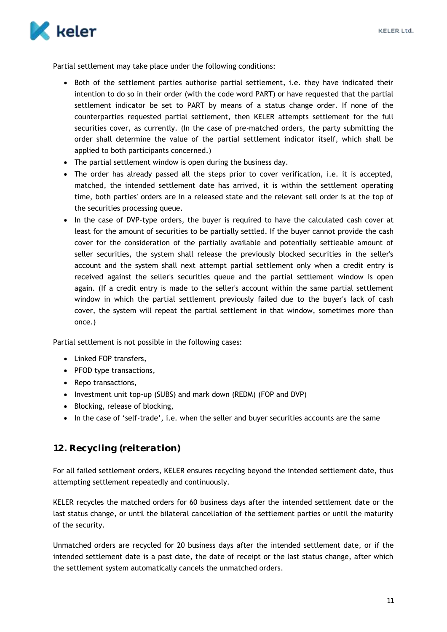

Partial settlement may take place under the following conditions:

- Both of the settlement parties authorise partial settlement, i.e. they have indicated their intention to do so in their order (with the code word PART) or have requested that the partial settlement indicator be set to PART by means of a status change order. If none of the counterparties requested partial settlement, then KELER attempts settlement for the full securities cover, as currently. (In the case of pre-matched orders, the party submitting the order shall determine the value of the partial settlement indicator itself, which shall be applied to both participants concerned.)
- The partial settlement window is open during the business day.
- The order has already passed all the steps prior to cover verification, i.e. it is accepted, matched, the intended settlement date has arrived, it is within the settlement operating time, both parties' orders are in a released state and the relevant sell order is at the top of the securities processing queue.
- In the case of DVP-type orders, the buyer is required to have the calculated cash cover at least for the amount of securities to be partially settled. If the buyer cannot provide the cash cover for the consideration of the partially available and potentially settleable amount of seller securities, the system shall release the previously blocked securities in the seller's account and the system shall next attempt partial settlement only when a credit entry is received against the seller's securities queue and the partial settlement window is open again. (If a credit entry is made to the seller's account within the same partial settlement window in which the partial settlement previously failed due to the buyer's lack of cash cover, the system will repeat the partial settlement in that window, sometimes more than once.)

Partial settlement is not possible in the following cases:

- Linked FOP transfers,
- PFOD type transactions,
- Repo transactions,
- Investment unit top-up (SUBS) and mark down (REDM) (FOP and DVP)
- Blocking, release of blocking,
- In the case of 'self-trade', i.e. when the seller and buyer securities accounts are the same

## <span id="page-11-0"></span>**12. Recycling (reiteration)**

For all failed settlement orders, KELER ensures recycling beyond the intended settlement date, thus attempting settlement repeatedly and continuously.

KELER recycles the matched orders for 60 business days after the intended settlement date or the last status change, or until the bilateral cancellation of the settlement parties or until the maturity of the security.

Unmatched orders are recycled for 20 business days after the intended settlement date, or if the intended settlement date is a past date, the date of receipt or the last status change, after which the settlement system automatically cancels the unmatched orders.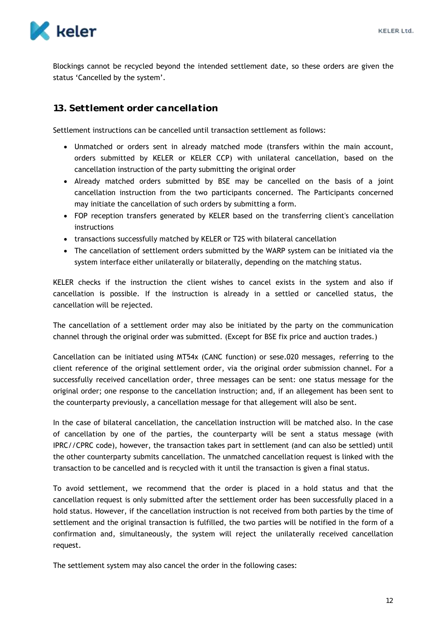

Blockings cannot be recycled beyond the intended settlement date, so these orders are given the status 'Cancelled by the system'.

# <span id="page-12-0"></span>**13. Settlement order cancellation**

Settlement instructions can be cancelled until transaction settlement as follows:

- Unmatched or orders sent in already matched mode (transfers within the main account, orders submitted by KELER or KELER CCP) with unilateral cancellation, based on the cancellation instruction of the party submitting the original order
- Already matched orders submitted by BSE may be cancelled on the basis of a joint cancellation instruction from the two participants concerned. The Participants concerned may initiate the cancellation of such orders by submitting a form.
- FOP reception transfers generated by KELER based on the transferring client's cancellation instructions
- transactions successfully matched by KELER or T2S with bilateral cancellation
- The cancellation of settlement orders submitted by the WARP system can be initiated via the system interface either unilaterally or bilaterally, depending on the matching status.

KELER checks if the instruction the client wishes to cancel exists in the system and also if cancellation is possible. If the instruction is already in a settled or cancelled status, the cancellation will be rejected.

The cancellation of a settlement order may also be initiated by the party on the communication channel through the original order was submitted. (Except for BSE fix price and auction trades.)

Cancellation can be initiated using MT54x (CANC function) or sese.020 messages, referring to the client reference of the original settlement order, via the original order submission channel. For a successfully received cancellation order, three messages can be sent: one status message for the original order; one response to the cancellation instruction; and, if an allegement has been sent to the counterparty previously, a cancellation message for that allegement will also be sent.

In the case of bilateral cancellation, the cancellation instruction will be matched also. In the case of cancellation by one of the parties, the counterparty will be sent a status message (with IPRC//CPRC code), however, the transaction takes part in settlement (and can also be settled) until the other counterparty submits cancellation. The unmatched cancellation request is linked with the transaction to be cancelled and is recycled with it until the transaction is given a final status.

To avoid settlement, we recommend that the order is placed in a hold status and that the cancellation request is only submitted after the settlement order has been successfully placed in a hold status. However, if the cancellation instruction is not received from both parties by the time of settlement and the original transaction is fulfilled, the two parties will be notified in the form of a confirmation and, simultaneously, the system will reject the unilaterally received cancellation request.

The settlement system may also cancel the order in the following cases: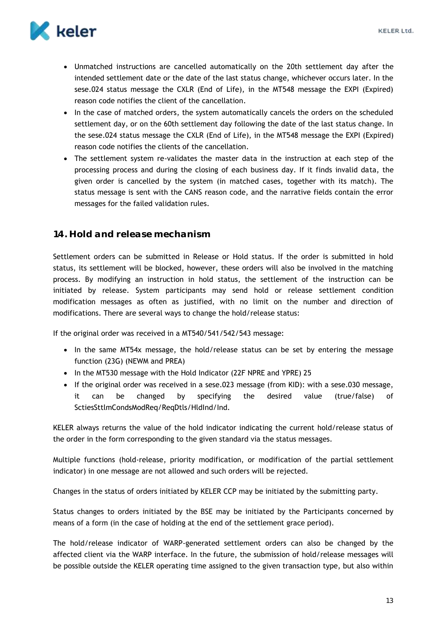

- Unmatched instructions are cancelled automatically on the 20th settlement day after the intended settlement date or the date of the last status change, whichever occurs later. In the sese.024 status message the CXLR (End of Life), in the MT548 message the EXPI (Expired) reason code notifies the client of the cancellation.
- In the case of matched orders, the system automatically cancels the orders on the scheduled settlement day, or on the 60th settlement day following the date of the last status change. In the sese.024 status message the CXLR (End of Life), in the MT548 message the EXPI (Expired) reason code notifies the clients of the cancellation.
- The settlement system re-validates the master data in the instruction at each step of the processing process and during the closing of each business day. If it finds invalid data, the given order is cancelled by the system (in matched cases, together with its match). The status message is sent with the CANS reason code, and the narrative fields contain the error messages for the failed validation rules.

## <span id="page-13-0"></span>**14. Hold and release mechanism**

Settlement orders can be submitted in Release or Hold status. If the order is submitted in hold status, its settlement will be blocked, however, these orders will also be involved in the matching process. By modifying an instruction in hold status, the settlement of the instruction can be initiated by release. System participants may send hold or release settlement condition modification messages as often as justified, with no limit on the number and direction of modifications. There are several ways to change the hold/release status:

If the original order was received in a MT540/541/542/543 message:

- In the same MT54x message, the hold/release status can be set by entering the message function (23G) (NEWM and PREA)
- In the MT530 message with the Hold Indicator (22F NPRE and YPRE) 25
- If the original order was received in a sese.023 message (from KID): with a sese.030 message, it can be changed by specifying the desired value (true/false) of SctiesSttlmCondsModReq/ReqDtls/HldInd/Ind.

KELER always returns the value of the hold indicator indicating the current hold/release status of the order in the form corresponding to the given standard via the status messages.

Multiple functions (hold-release, priority modification, or modification of the partial settlement indicator) in one message are not allowed and such orders will be rejected.

Changes in the status of orders initiated by KELER CCP may be initiated by the submitting party.

Status changes to orders initiated by the BSE may be initiated by the Participants concerned by means of a form (in the case of holding at the end of the settlement grace period).

The hold/release indicator of WARP-generated settlement orders can also be changed by the affected client via the WARP interface. In the future, the submission of hold/release messages will be possible outside the KELER operating time assigned to the given transaction type, but also within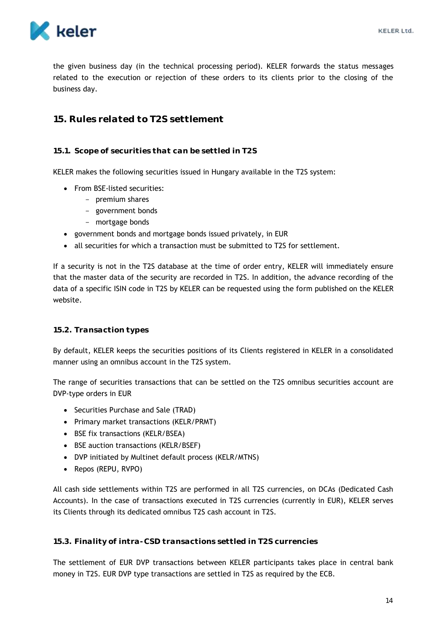

the given business day (in the technical processing period). KELER forwards the status messages related to the execution or rejection of these orders to its clients prior to the closing of the business day.

#### <span id="page-14-0"></span>**15. Rules related to T2S settlement**

#### <span id="page-14-1"></span>**15.1. Scope of securities that can be settled in T2S**

KELER makes the following securities issued in Hungary available in the T2S system:

- From BSE-listed securities:
	- premium shares
	- government bonds
	- mortgage bonds
- government bonds and mortgage bonds issued privately, in EUR
- all securities for which a transaction must be submitted to T2S for settlement.

If a security is not in the T2S database at the time of order entry, KELER will immediately ensure that the master data of the security are recorded in T2S. In addition, the advance recording of the data of a specific ISIN code in T2S by KELER can be requested using the form published on the KELER website.

#### <span id="page-14-2"></span>**15.2. Transaction types**

By default, KELER keeps the securities positions of its Clients registered in KELER in a consolidated manner using an omnibus account in the T2S system.

The range of securities transactions that can be settled on the T2S omnibus securities account are DVP-type orders in EUR

- Securities Purchase and Sale (TRAD)
- Primary market transactions (KELR/PRMT)
- BSE fix transactions (KELR/BSEA)
- BSE auction transactions (KELR/BSEF)
- DVP initiated by Multinet default process (KELR/MTNS)
- Repos (REPU, RVPO)

All cash side settlements within T2S are performed in all T2S currencies, on DCAs (Dedicated Cash Accounts). In the case of transactions executed in T2S currencies (currently in EUR), KELER serves its Clients through its dedicated omnibus T2S cash account in T2S.

<span id="page-14-3"></span>**15.3. Finality of intra-CSD transactions settled in T2S currencies**

The settlement of EUR DVP transactions between KELER participants takes place in central bank money in T2S. EUR DVP type transactions are settled in T2S as required by the ECB.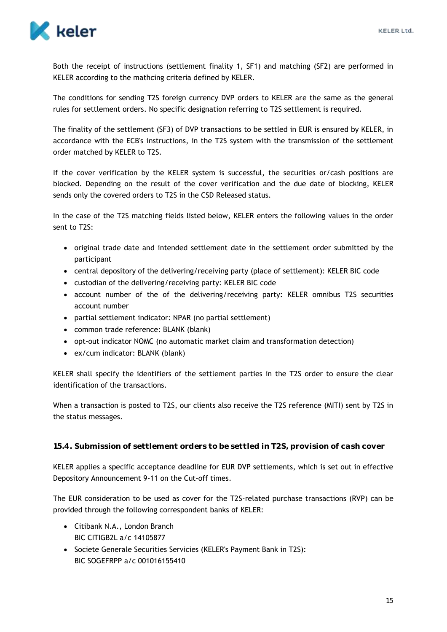

Both the receipt of instructions (settlement finality 1, SF1) and matching (SF2) are performed in KELER according to the mathcing criteria defined by KELER.

The conditions for sending T2S foreign currency DVP orders to KELER are the same as the general rules for settlement orders. No specific designation referring to T2S settlement is required.

The finality of the settlement (SF3) of DVP transactions to be settled in EUR is ensured by KELER, in accordance with the ECB's instructions, in the T2S system with the transmission of the settlement order matched by KELER to T2S.

If the cover verification by the KELER system is successful, the securities or/cash positions are blocked. Depending on the result of the cover verification and the due date of blocking, KELER sends only the covered orders to T2S in the CSD Released status.

In the case of the T2S matching fields listed below, KELER enters the following values in the order sent to T2S:

- original trade date and intended settlement date in the settlement order submitted by the participant
- central depository of the delivering/receiving party (place of settlement): KELER BIC code
- custodian of the delivering/receiving party: KELER BIC code
- account number of the of the delivering/receiving party: KELER omnibus T2S securities account number
- partial settlement indicator: NPAR (no partial settlement)
- common trade reference: BLANK (blank)
- opt-out indicator NOMC (no automatic market claim and transformation detection)
- ex/cum indicator: BLANK (blank)

KELER shall specify the identifiers of the settlement parties in the T2S order to ensure the clear identification of the transactions.

When a transaction is posted to T2S, our clients also receive the T2S reference (MITI) sent by T2S in the status messages.

<span id="page-15-0"></span>**15.4. Submission of settlement orders to be settled in T2S, provision of cash cover**

KELER applies a specific acceptance deadline for EUR DVP settlements, which is set out in effective Depository Announcement 9-11 on the Cut-off times.

The EUR consideration to be used as cover for the T2S-related purchase transactions (RVP) can be provided through the following correspondent banks of KELER:

- Citibank N.A., London Branch BIC CITIGB2L a/c 14105877
- Societe Generale Securities Servicies (KELER's Payment Bank in T2S): BIC SOGEFRPP a/c 001016155410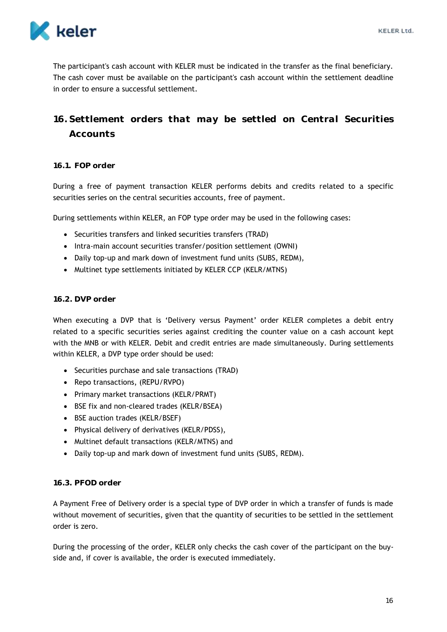

The participant's cash account with KELER must be indicated in the transfer as the final beneficiary. The cash cover must be available on the participant's cash account within the settlement deadline in order to ensure a successful settlement.

# <span id="page-16-0"></span>**16. Settlement orders that may be settled on Central Securities Accounts**

#### <span id="page-16-1"></span>**16.1. FOP order**

During a free of payment transaction KELER performs debits and credits related to a specific securities series on the central securities accounts, free of payment.

During settlements within KELER, an FOP type order may be used in the following cases:

- Securities transfers and linked securities transfers (TRAD)
- Intra-main account securities transfer/position settlement (OWNI)
- Daily top-up and mark down of investment fund units (SUBS, REDM),
- Multinet type settlements initiated by KELER CCP (KELR/MTNS)

#### <span id="page-16-2"></span>**16.2. DVP order**

When executing a DVP that is 'Delivery versus Payment' order KELER completes a debit entry related to a specific securities series against crediting the counter value on a cash account kept with the MNB or with KELER. Debit and credit entries are made simultaneously. During settlements within KELER, a DVP type order should be used:

- Securities purchase and sale transactions (TRAD)
- Repo transactions, (REPU/RVPO)
- Primary market transactions (KELR/PRMT)
- BSE fix and non-cleared trades (KELR/BSEA)
- BSE auction trades (KELR/BSEF)
- Physical delivery of derivatives (KELR/PDSS),
- Multinet default transactions (KELR/MTNS) and
- Daily top-up and mark down of investment fund units (SUBS, REDM).

#### <span id="page-16-3"></span>**16.3. PFOD order**

A Payment Free of Delivery order is a special type of DVP order in which a transfer of funds is made without movement of securities, given that the quantity of securities to be settled in the settlement order is zero.

During the processing of the order, KELER only checks the cash cover of the participant on the buyside and, if cover is available, the order is executed immediately.